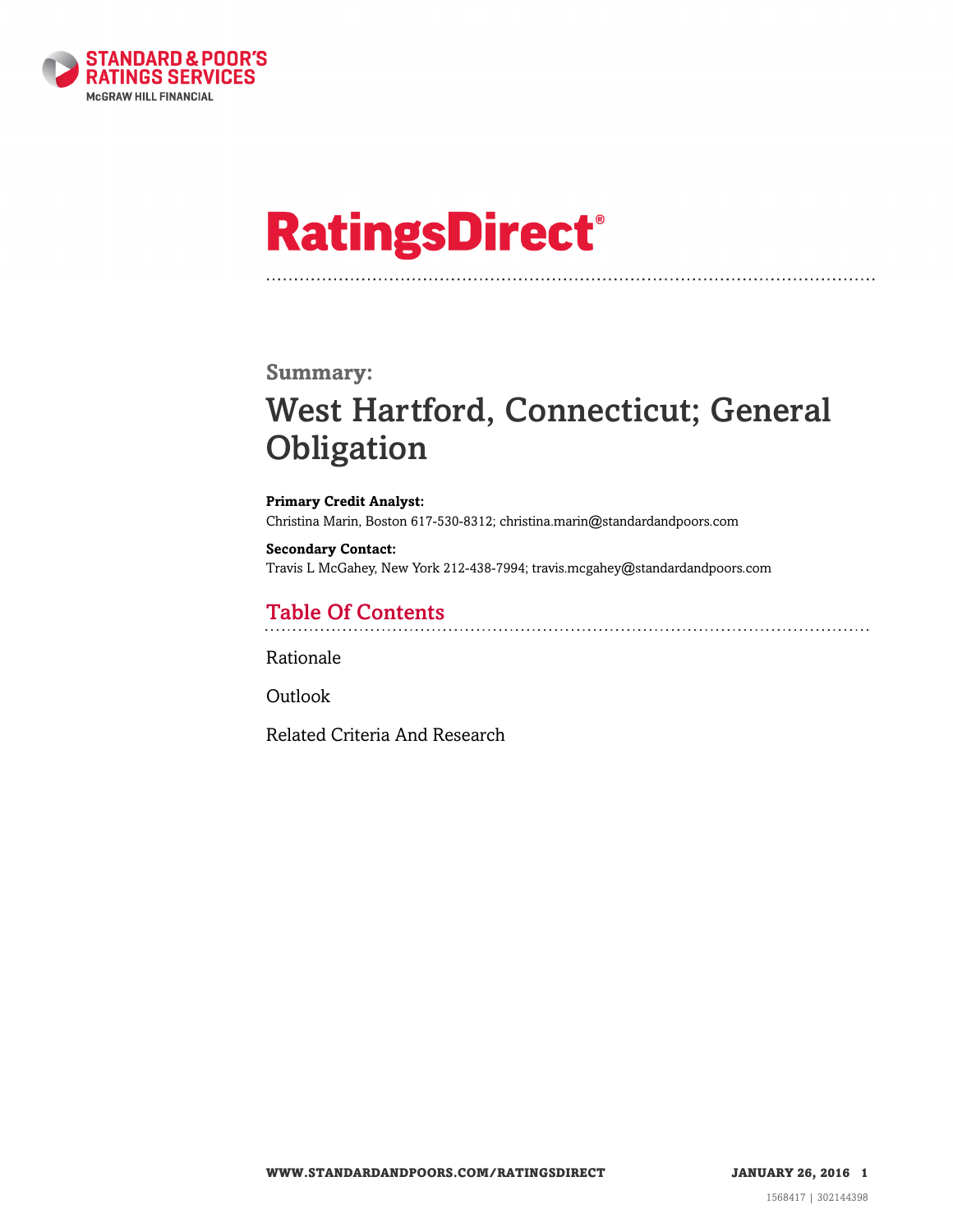

# **RatingsDirect®**

### **Summary:**

# West Hartford, Connecticut; General **Obligation**

**Primary Credit Analyst:** Christina Marin, Boston 617-530-8312; christina.marin@standardandpoors.com

**Secondary Contact:** Travis L McGahey, New York 212-438-7994; travis.mcgahey@standardandpoors.com

## Table Of Contents

[Rationale](#page-1-0)

[Outlook](#page-4-0)

[Related Criteria And Research](#page-5-0)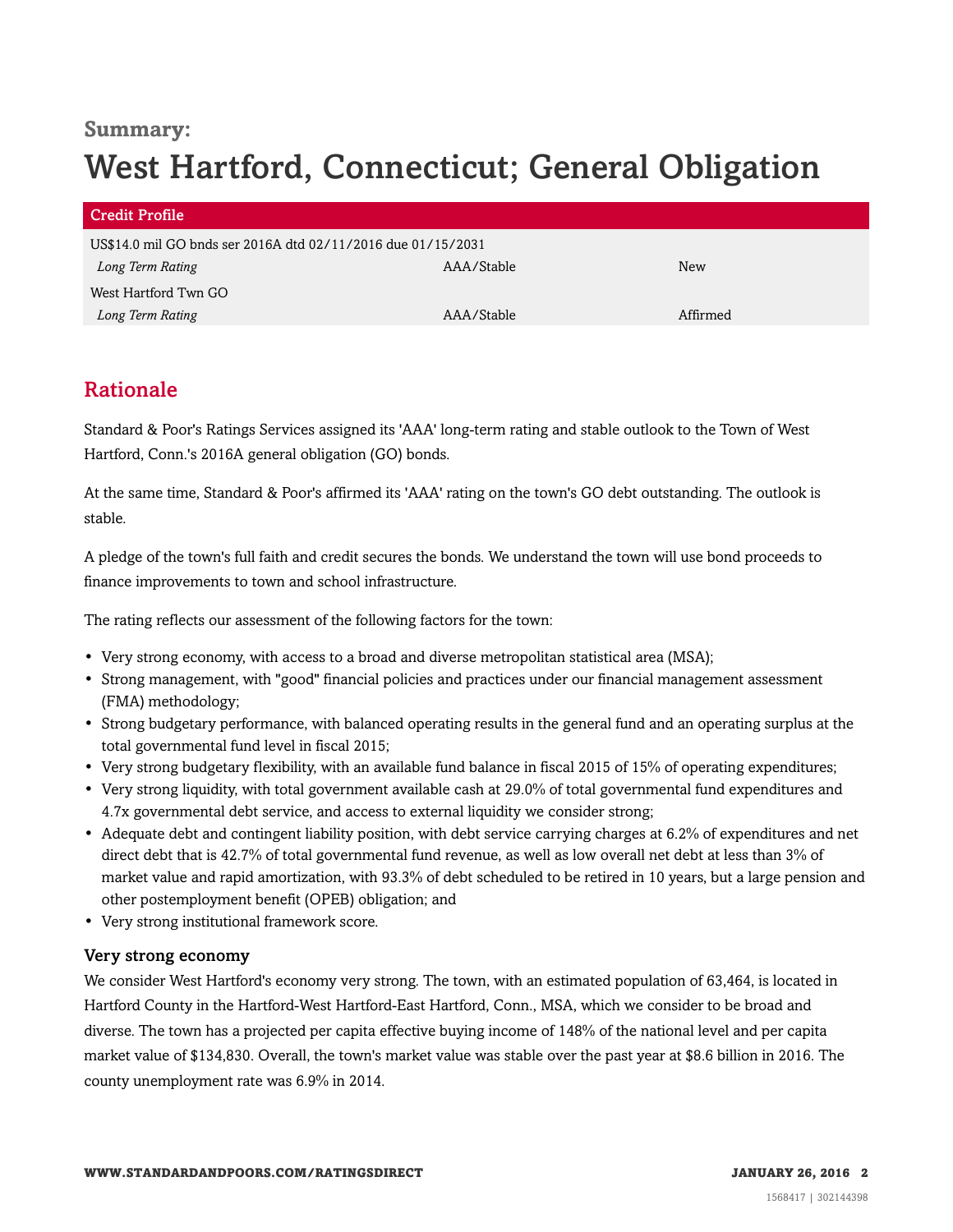### **Summary:**

# West Hartford, Connecticut; General Obligation

| <b>Credit Profile</b>                                        |            |            |
|--------------------------------------------------------------|------------|------------|
| US\$14.0 mil GO bnds ser 2016A dtd 02/11/2016 due 01/15/2031 |            |            |
| Long Term Rating                                             | AAA/Stable | <b>New</b> |
| West Hartford Twn GO                                         |            |            |
| Long Term Rating                                             | AAA/Stable | Affirmed   |

# <span id="page-1-0"></span>Rationale

Standard & Poor's Ratings Services assigned its 'AAA' long-term rating and stable outlook to the Town of West Hartford, Conn.'s 2016A general obligation (GO) bonds.

At the same time, Standard & Poor's affirmed its 'AAA' rating on the town's GO debt outstanding. The outlook is stable.

A pledge of the town's full faith and credit secures the bonds. We understand the town will use bond proceeds to finance improvements to town and school infrastructure.

The rating reflects our assessment of the following factors for the town:

- Very strong economy, with access to a broad and diverse metropolitan statistical area (MSA);
- Strong management, with "good" financial policies and practices under our financial management assessment (FMA) methodology;
- Strong budgetary performance, with balanced operating results in the general fund and an operating surplus at the total governmental fund level in fiscal 2015;
- Very strong budgetary flexibility, with an available fund balance in fiscal 2015 of 15% of operating expenditures;
- Very strong liquidity, with total government available cash at 29.0% of total governmental fund expenditures and 4.7x governmental debt service, and access to external liquidity we consider strong;
- Adequate debt and contingent liability position, with debt service carrying charges at 6.2% of expenditures and net direct debt that is 42.7% of total governmental fund revenue, as well as low overall net debt at less than 3% of market value and rapid amortization, with 93.3% of debt scheduled to be retired in 10 years, but a large pension and other postemployment benefit (OPEB) obligation; and
- Very strong institutional framework score.

#### Very strong economy

We consider West Hartford's economy very strong. The town, with an estimated population of 63,464, is located in Hartford County in the Hartford-West Hartford-East Hartford, Conn., MSA, which we consider to be broad and diverse. The town has a projected per capita effective buying income of 148% of the national level and per capita market value of \$134,830. Overall, the town's market value was stable over the past year at \$8.6 billion in 2016. The county unemployment rate was 6.9% in 2014.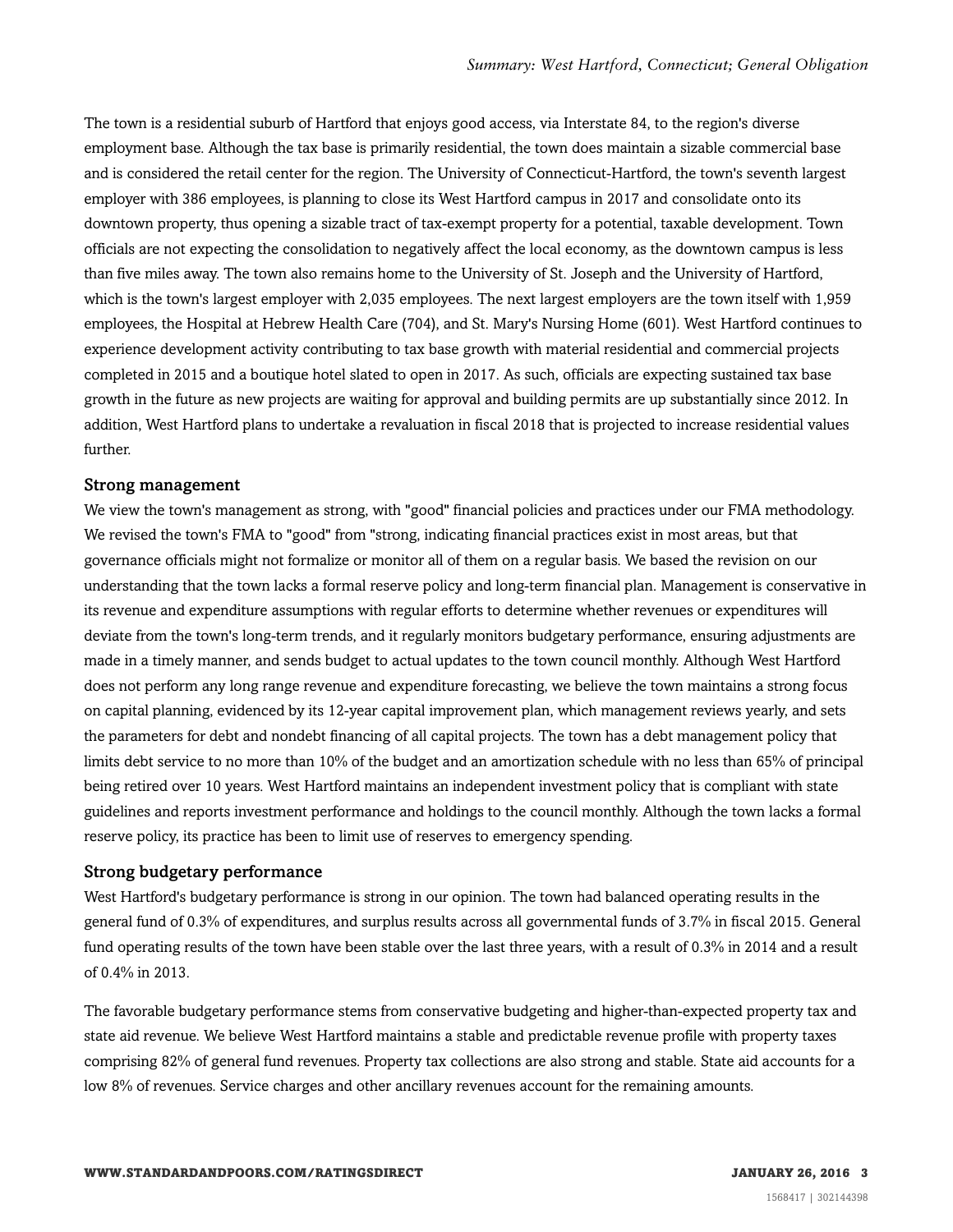The town is a residential suburb of Hartford that enjoys good access, via Interstate 84, to the region's diverse employment base. Although the tax base is primarily residential, the town does maintain a sizable commercial base and is considered the retail center for the region. The University of Connecticut-Hartford, the town's seventh largest employer with 386 employees, is planning to close its West Hartford campus in 2017 and consolidate onto its downtown property, thus opening a sizable tract of tax-exempt property for a potential, taxable development. Town officials are not expecting the consolidation to negatively affect the local economy, as the downtown campus is less than five miles away. The town also remains home to the University of St. Joseph and the University of Hartford, which is the town's largest employer with 2,035 employees. The next largest employers are the town itself with 1,959 employees, the Hospital at Hebrew Health Care (704), and St. Mary's Nursing Home (601). West Hartford continues to experience development activity contributing to tax base growth with material residential and commercial projects completed in 2015 and a boutique hotel slated to open in 2017. As such, officials are expecting sustained tax base growth in the future as new projects are waiting for approval and building permits are up substantially since 2012. In addition, West Hartford plans to undertake a revaluation in fiscal 2018 that is projected to increase residential values further.

#### Strong management

We view the town's management as strong, with "good" financial policies and practices under our FMA methodology. We revised the town's FMA to "good" from "strong, indicating financial practices exist in most areas, but that governance officials might not formalize or monitor all of them on a regular basis. We based the revision on our understanding that the town lacks a formal reserve policy and long-term financial plan. Management is conservative in its revenue and expenditure assumptions with regular efforts to determine whether revenues or expenditures will deviate from the town's long-term trends, and it regularly monitors budgetary performance, ensuring adjustments are made in a timely manner, and sends budget to actual updates to the town council monthly. Although West Hartford does not perform any long range revenue and expenditure forecasting, we believe the town maintains a strong focus on capital planning, evidenced by its 12-year capital improvement plan, which management reviews yearly, and sets the parameters for debt and nondebt financing of all capital projects. The town has a debt management policy that limits debt service to no more than 10% of the budget and an amortization schedule with no less than 65% of principal being retired over 10 years. West Hartford maintains an independent investment policy that is compliant with state guidelines and reports investment performance and holdings to the council monthly. Although the town lacks a formal reserve policy, its practice has been to limit use of reserves to emergency spending.

#### Strong budgetary performance

West Hartford's budgetary performance is strong in our opinion. The town had balanced operating results in the general fund of 0.3% of expenditures, and surplus results across all governmental funds of 3.7% in fiscal 2015. General fund operating results of the town have been stable over the last three years, with a result of 0.3% in 2014 and a result of 0.4% in 2013.

The favorable budgetary performance stems from conservative budgeting and higher-than-expected property tax and state aid revenue. We believe West Hartford maintains a stable and predictable revenue profile with property taxes comprising 82% of general fund revenues. Property tax collections are also strong and stable. State aid accounts for a low 8% of revenues. Service charges and other ancillary revenues account for the remaining amounts.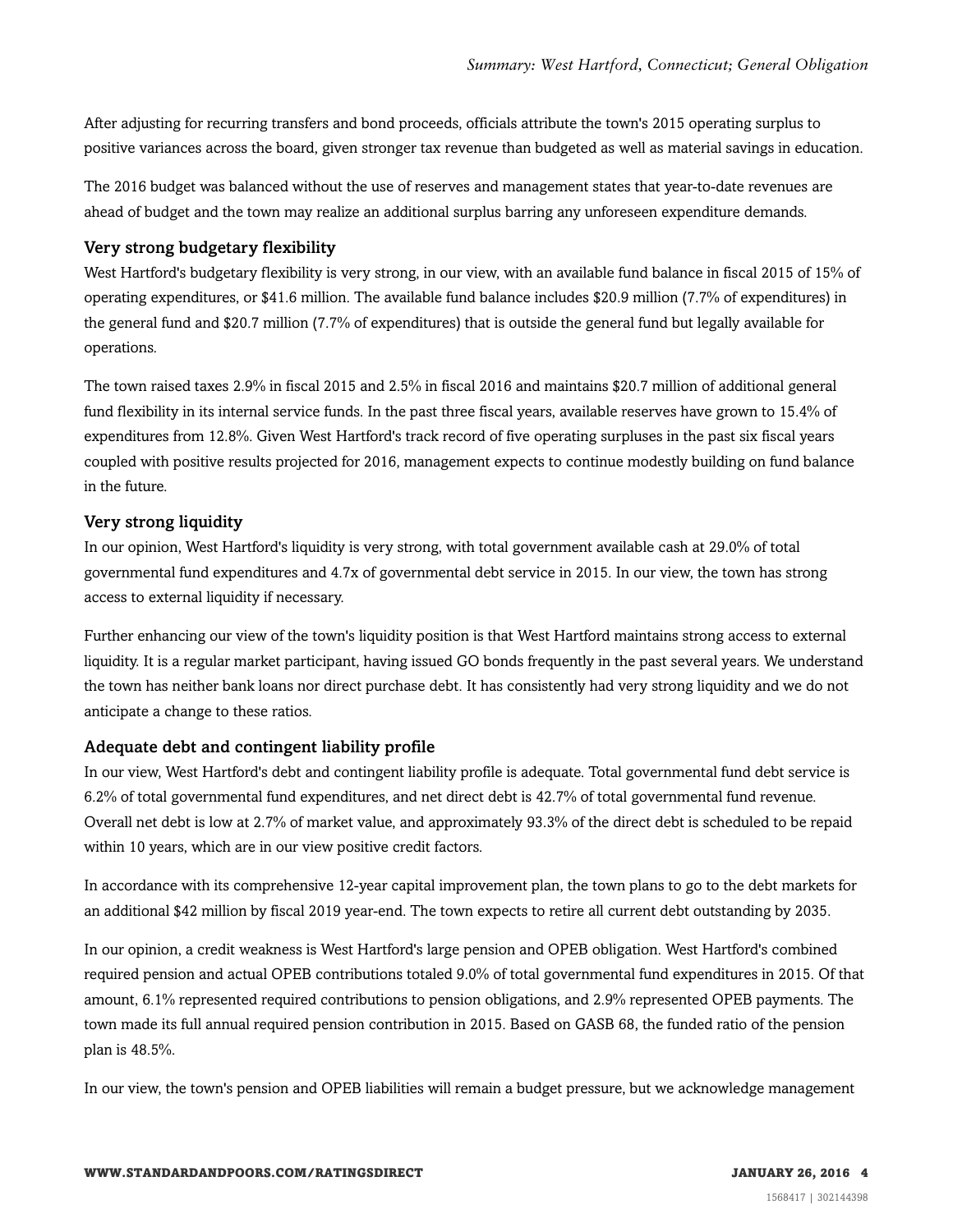After adjusting for recurring transfers and bond proceeds, officials attribute the town's 2015 operating surplus to positive variances across the board, given stronger tax revenue than budgeted as well as material savings in education.

The 2016 budget was balanced without the use of reserves and management states that year-to-date revenues are ahead of budget and the town may realize an additional surplus barring any unforeseen expenditure demands.

#### Very strong budgetary flexibility

West Hartford's budgetary flexibility is very strong, in our view, with an available fund balance in fiscal 2015 of 15% of operating expenditures, or \$41.6 million. The available fund balance includes \$20.9 million (7.7% of expenditures) in the general fund and \$20.7 million (7.7% of expenditures) that is outside the general fund but legally available for operations.

The town raised taxes 2.9% in fiscal 2015 and 2.5% in fiscal 2016 and maintains \$20.7 million of additional general fund flexibility in its internal service funds. In the past three fiscal years, available reserves have grown to 15.4% of expenditures from 12.8%. Given West Hartford's track record of five operating surpluses in the past six fiscal years coupled with positive results projected for 2016, management expects to continue modestly building on fund balance in the future.

#### Very strong liquidity

In our opinion, West Hartford's liquidity is very strong, with total government available cash at 29.0% of total governmental fund expenditures and 4.7x of governmental debt service in 2015. In our view, the town has strong access to external liquidity if necessary.

Further enhancing our view of the town's liquidity position is that West Hartford maintains strong access to external liquidity. It is a regular market participant, having issued GO bonds frequently in the past several years. We understand the town has neither bank loans nor direct purchase debt. It has consistently had very strong liquidity and we do not anticipate a change to these ratios.

#### Adequate debt and contingent liability profile

In our view, West Hartford's debt and contingent liability profile is adequate. Total governmental fund debt service is 6.2% of total governmental fund expenditures, and net direct debt is 42.7% of total governmental fund revenue. Overall net debt is low at 2.7% of market value, and approximately 93.3% of the direct debt is scheduled to be repaid within 10 years, which are in our view positive credit factors.

In accordance with its comprehensive 12-year capital improvement plan, the town plans to go to the debt markets for an additional \$42 million by fiscal 2019 year-end. The town expects to retire all current debt outstanding by 2035.

In our opinion, a credit weakness is West Hartford's large pension and OPEB obligation. West Hartford's combined required pension and actual OPEB contributions totaled 9.0% of total governmental fund expenditures in 2015. Of that amount, 6.1% represented required contributions to pension obligations, and 2.9% represented OPEB payments. The town made its full annual required pension contribution in 2015. Based on GASB 68, the funded ratio of the pension plan is 48.5%.

In our view, the town's pension and OPEB liabilities will remain a budget pressure, but we acknowledge management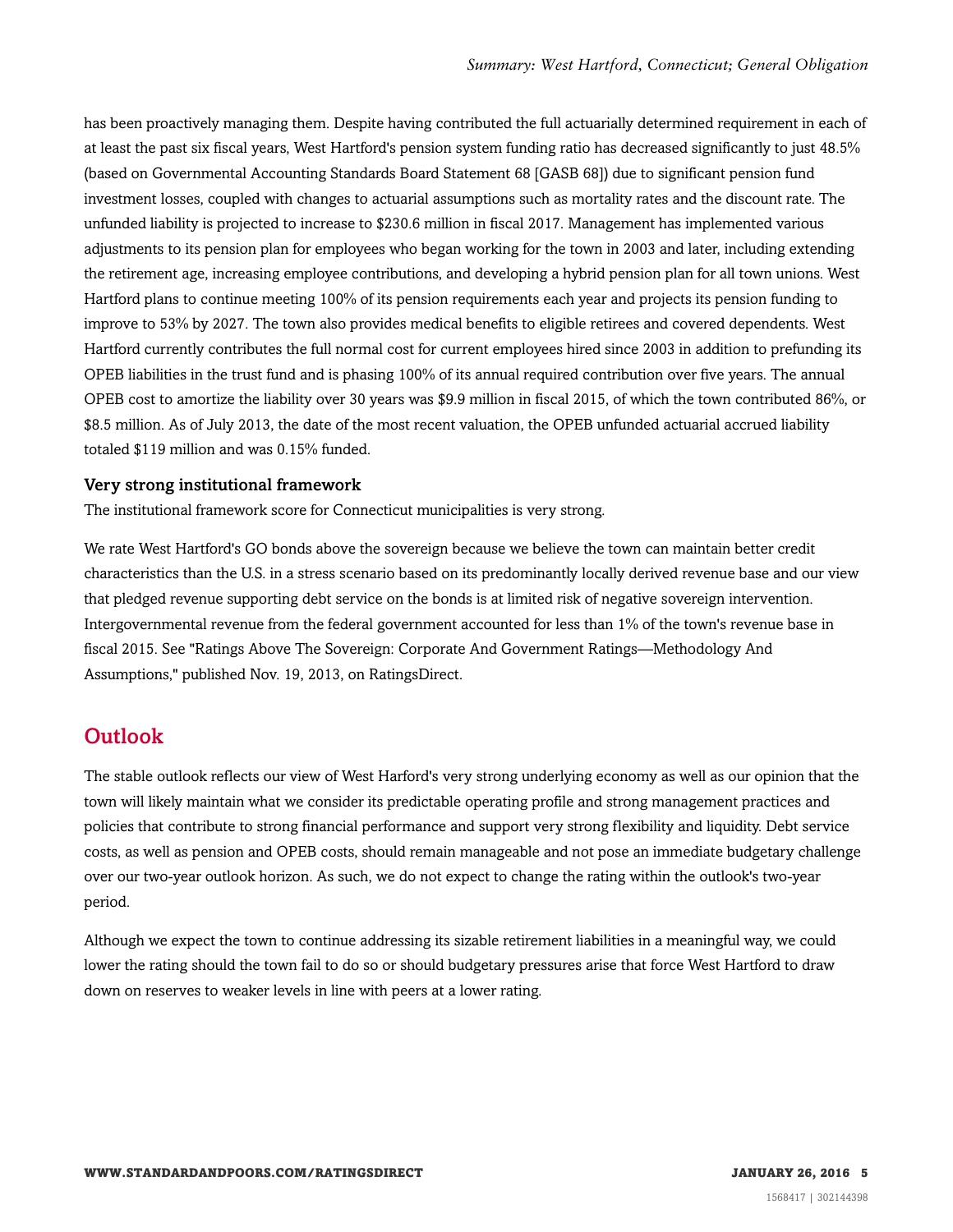has been proactively managing them. Despite having contributed the full actuarially determined requirement in each of at least the past six fiscal years, West Hartford's pension system funding ratio has decreased significantly to just 48.5% (based on Governmental Accounting Standards Board Statement 68 [GASB 68]) due to significant pension fund investment losses, coupled with changes to actuarial assumptions such as mortality rates and the discount rate. The unfunded liability is projected to increase to \$230.6 million in fiscal 2017. Management has implemented various adjustments to its pension plan for employees who began working for the town in 2003 and later, including extending the retirement age, increasing employee contributions, and developing a hybrid pension plan for all town unions. West Hartford plans to continue meeting 100% of its pension requirements each year and projects its pension funding to improve to 53% by 2027. The town also provides medical benefits to eligible retirees and covered dependents. West Hartford currently contributes the full normal cost for current employees hired since 2003 in addition to prefunding its OPEB liabilities in the trust fund and is phasing 100% of its annual required contribution over five years. The annual OPEB cost to amortize the liability over 30 years was \$9.9 million in fiscal 2015, of which the town contributed 86%, or \$8.5 million. As of July 2013, the date of the most recent valuation, the OPEB unfunded actuarial accrued liability totaled \$119 million and was 0.15% funded.

#### Very strong institutional framework

The institutional framework score for Connecticut municipalities is very strong.

We rate West Hartford's GO bonds above the sovereign because we believe the town can maintain better credit characteristics than the U.S. in a stress scenario based on its predominantly locally derived revenue base and our view that pledged revenue supporting debt service on the bonds is at limited risk of negative sovereign intervention. Intergovernmental revenue from the federal government accounted for less than 1% of the town's revenue base in fiscal 2015. See "Ratings Above The Sovereign: Corporate And Government Ratings—Methodology And Assumptions," published Nov. 19, 2013, on RatingsDirect.

#### <span id="page-4-0"></span>**Outlook**

The stable outlook reflects our view of West Harford's very strong underlying economy as well as our opinion that the town will likely maintain what we consider its predictable operating profile and strong management practices and policies that contribute to strong financial performance and support very strong flexibility and liquidity. Debt service costs, as well as pension and OPEB costs, should remain manageable and not pose an immediate budgetary challenge over our two-year outlook horizon. As such, we do not expect to change the rating within the outlook's two-year period.

Although we expect the town to continue addressing its sizable retirement liabilities in a meaningful way, we could lower the rating should the town fail to do so or should budgetary pressures arise that force West Hartford to draw down on reserves to weaker levels in line with peers at a lower rating.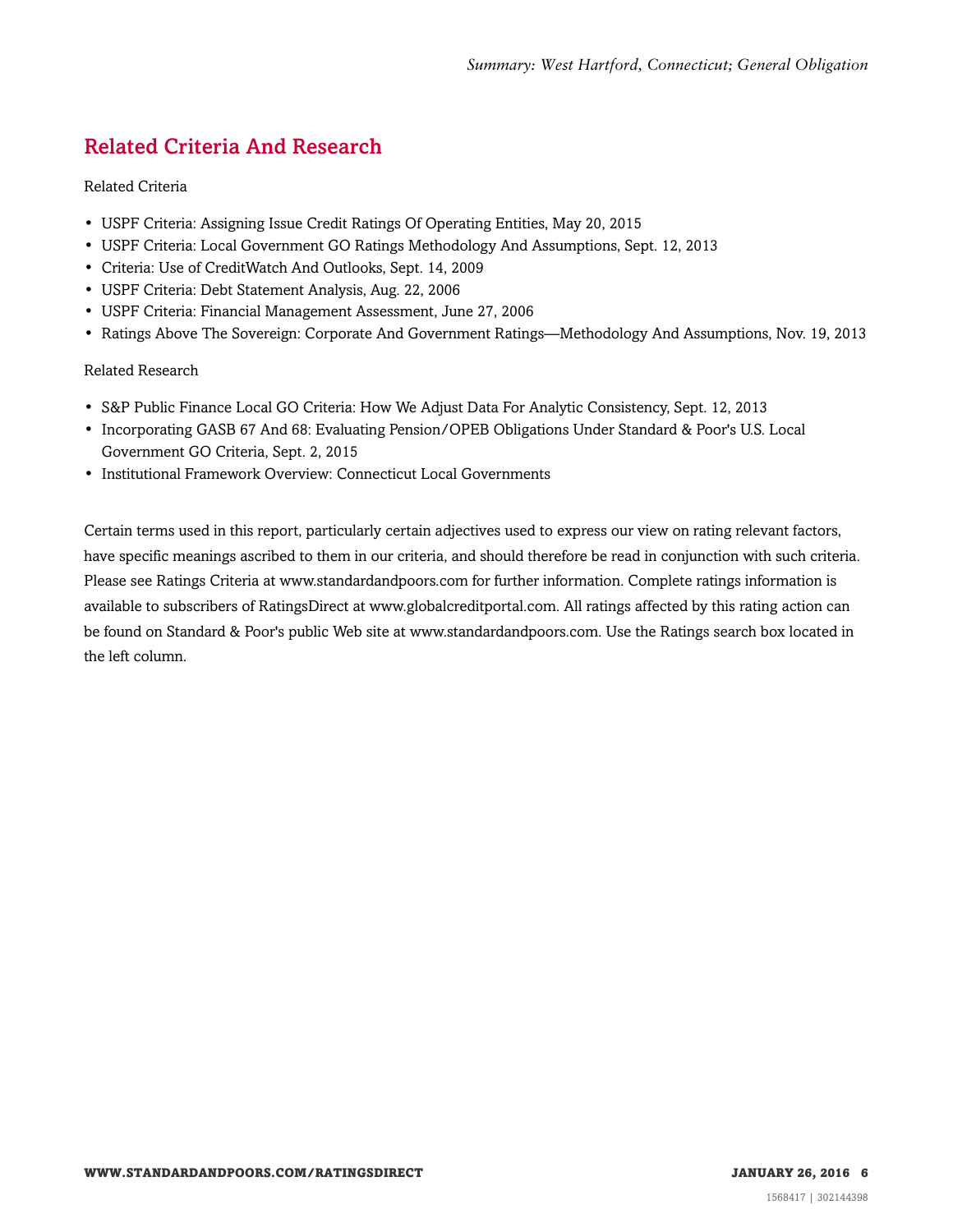# <span id="page-5-0"></span>Related Criteria And Research

#### Related Criteria

- USPF Criteria: Assigning Issue Credit Ratings Of Operating Entities, May 20, 2015
- USPF Criteria: Local Government GO Ratings Methodology And Assumptions, Sept. 12, 2013
- Criteria: Use of CreditWatch And Outlooks, Sept. 14, 2009
- USPF Criteria: Debt Statement Analysis, Aug. 22, 2006
- USPF Criteria: Financial Management Assessment, June 27, 2006
- Ratings Above The Sovereign: Corporate And Government Ratings—Methodology And Assumptions, Nov. 19, 2013

#### Related Research

- S&P Public Finance Local GO Criteria: How We Adjust Data For Analytic Consistency, Sept. 12, 2013
- Incorporating GASB 67 And 68: Evaluating Pension/OPEB Obligations Under Standard & Poor's U.S. Local Government GO Criteria, Sept. 2, 2015
- Institutional Framework Overview: Connecticut Local Governments

Certain terms used in this report, particularly certain adjectives used to express our view on rating relevant factors, have specific meanings ascribed to them in our criteria, and should therefore be read in conjunction with such criteria. Please see Ratings Criteria at www.standardandpoors.com for further information. Complete ratings information is available to subscribers of RatingsDirect at www.globalcreditportal.com. All ratings affected by this rating action can be found on Standard & Poor's public Web site at www.standardandpoors.com. Use the Ratings search box located in the left column.